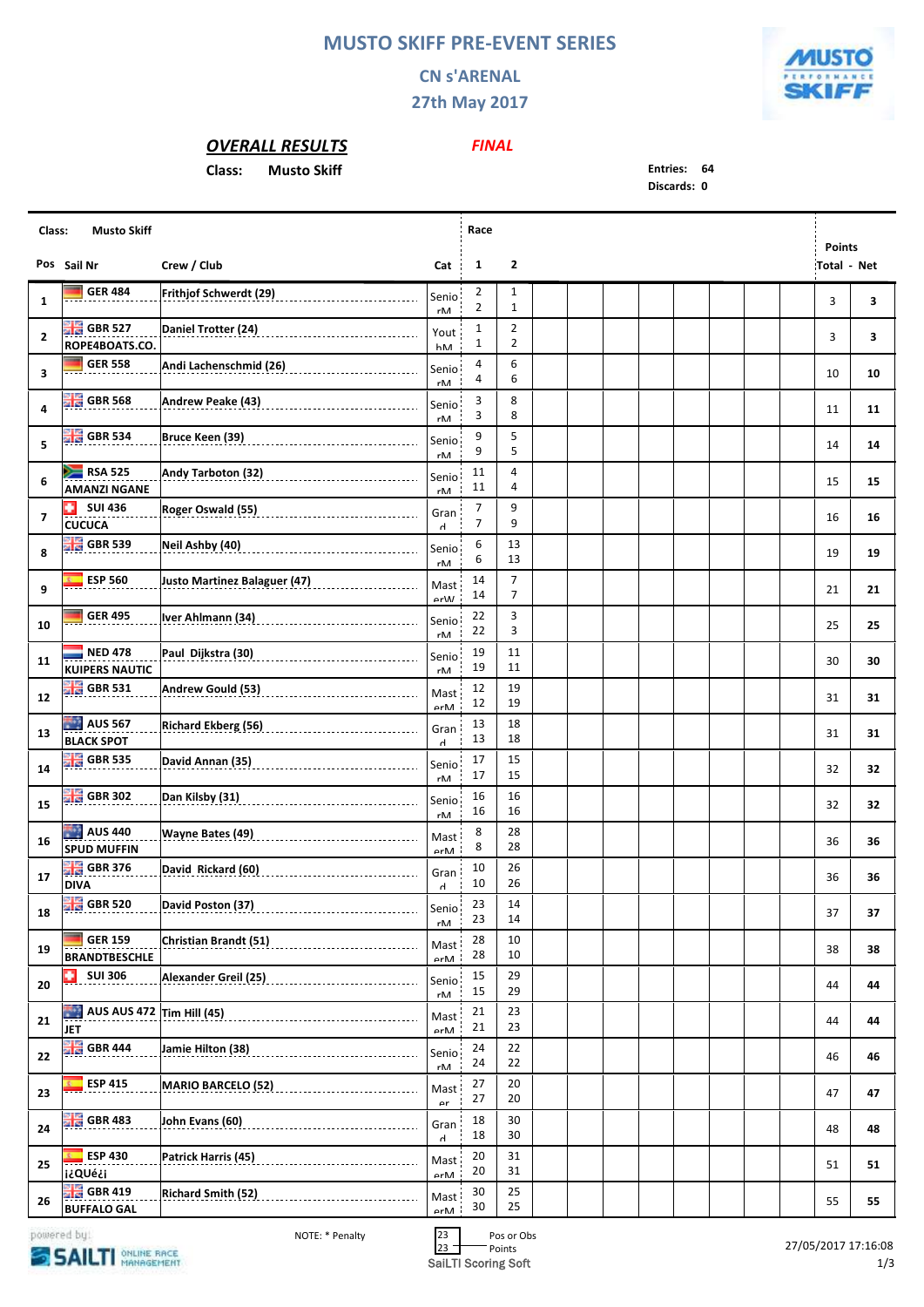## **MUSTO SKIFF PRE-EVENT SERIES**

## **CN s'ARENAL**

**27th May 2017**



## *OVERALL RESULTS*

**Class: Musto Skiff Entries: 64**

*FINAL*

**Discards: 0**

| Class:                  | <b>Musto Skiff</b>                            | Race                                                                                                                 |                            |                                           |                     |  |  | <b>Points</b> |  |                    |    |
|-------------------------|-----------------------------------------------|----------------------------------------------------------------------------------------------------------------------|----------------------------|-------------------------------------------|---------------------|--|--|---------------|--|--------------------|----|
|                         | Pos Sail Nr                                   | Crew / Club                                                                                                          | Cat                        | $\mathbf{1}$                              | $\overline{2}$      |  |  |               |  | <b>Total - Net</b> |    |
| 1                       | <b>GER 484</b>                                | Frithjof Schwerdt (29) _____________________________                                                                 | Senio <sup>1</sup><br>rM   | $\overline{2}$<br>$\overline{\mathbf{c}}$ | 1<br>$\mathbf{1}$   |  |  |               |  | 3                  | 3  |
| $\mathbf{2}$            | GBR 527<br>ROPE4BOATS.CO.                     |                                                                                                                      | Yout<br>hM                 | $\mathbf{1}$<br>1                         | $\overline{2}$<br>2 |  |  |               |  | 3                  | 3  |
| 3                       | <b>GER 558</b>                                | Andi Lachenschmid (26)                                                                                               | Senio<br>$r\mathsf{M}$     | 4<br>4                                    | 6<br>6              |  |  |               |  | 10                 | 10 |
| 4                       | $\frac{10}{24}$ GBR 568                       |                                                                                                                      | Senio<br>rM                | 3<br>3                                    | 8<br>8              |  |  |               |  | 11                 | 11 |
| 5                       | $\frac{100}{24}$ GBR 534                      | Bruce Keen (39)                                                                                                      | Senio                      | 9<br>9                                    | 5<br>5              |  |  |               |  | 14                 | 14 |
| 6                       | $RSA$ 525<br><b>AMANZI NGANE</b>              | Andy Tarboton (32)                                                                                                   | rM<br>Senio<br>rM          | 11<br>11                                  | 4<br>4              |  |  |               |  | 15                 | 15 |
| $\overline{\mathbf{z}}$ | ٠<br><b>SUI 436</b><br><b>CUCUCA</b>          | Roger Oswald (55)                                                                                                    | Gran<br>Ч                  | 7<br>7                                    | 9<br>9              |  |  |               |  | 16                 | 16 |
| 8                       | $\frac{100}{100}$ GBR 539                     | Neil Ashby (40)                                                                                                      | Senio<br>rM                | 6<br>6                                    | 13<br>13            |  |  |               |  | 19                 | 19 |
| 9                       | <b>ESP 560</b>                                | <b>Justo Martinez Balaguer (47)</b>                                                                                  | Mast<br>$\alpha r M$       | 14<br>14                                  | 7<br>7              |  |  |               |  | 21                 | 21 |
| 10                      | <b>GER 495</b>                                | Iver Ahlmann (34)                                                                                                    | Senio<br>$r\mathsf{M}$     | 22<br>22                                  | 3<br>3              |  |  |               |  | 25                 | 25 |
| 11                      | <b>NED 478</b><br><b>KUIPERS NAUTIC</b>       | Paul Dijkstra (30)                                                                                                   | Senio<br>rM                | 19<br>19                                  | 11<br>11            |  |  |               |  | 30                 | 30 |
| 12                      | $\frac{100}{200}$ GBR 531                     | Andrew Gould (53)<br>__________________________________                                                              | Mast<br>$\rho r \Lambda A$ | 12<br>12                                  | 19<br>19            |  |  |               |  | 31                 | 31 |
| 13                      | AUS 567<br><b>BLACK SPOT</b>                  | <b>Richard Ekberg (56)</b>                                                                                           | Gran<br>$\mathsf{H}$       | 13<br>13                                  | 18<br>18            |  |  |               |  | 31                 | 31 |
| 14                      | $\frac{100}{100}$ GBR 535                     |                                                                                                                      | Senio<br>$r\mathsf{M}$     | 17<br>17                                  | 15<br>15            |  |  |               |  | 32                 | 32 |
| 15                      | $\frac{100}{200}$ GBR 302                     | Dan Kilsby (31) Manuel Manuel Manuel Manuel Manuel Manuel Manuel Manuel Manuel Manuel Manuel Manuel Manuel Manuel Ma | Senio<br>rM                | 16<br>16                                  | 16<br>16            |  |  |               |  | 32                 | 32 |
| 16                      | <b>AUS 440</b><br><b>SPUD MUFFIN</b>          | <b>Wayne Bates (49)</b>                                                                                              | Mast<br>$\rho r$ M         | 8<br>8                                    | 28<br>28            |  |  |               |  | 36                 | 36 |
| 17                      | $\frac{10}{10}$ GBR 376<br><b>DIVA</b>        | David Rickard (60)                                                                                                   | Gran<br>$\mathsf{r}$       | 10<br>10                                  | 26<br>26            |  |  |               |  | 36                 | 36 |
| 18                      |                                               | <b>Chang GBR 520</b> David Poston (37)<br>and Capacity Construction (37)                                             | Senio<br>rM                | 23<br>23                                  | 14<br>14            |  |  |               |  | 37                 | 37 |
| 19                      | <b>GER 159</b><br><b>BRANDTBESCHLE</b>        | Christian Brandt (51) Manuel Christian Brand Christian                                                               | Mast<br>$\rho r$ M         | 28<br>28                                  | 10<br>10            |  |  |               |  | 38                 | 38 |
| 20                      | ٠<br><b>SUI 306</b>                           | Alexander Greil (25) __________________________________                                                              | Senio<br>rM                | 15<br>15                                  | 29<br>29            |  |  |               |  | 44                 | 44 |
| 21                      | <b>JET</b>                                    | <b>AUS AUS 472</b> Tim Hill (45) <b>CONVERTISION AUS AUS 472</b> Tim Hill (45)                                       | Mast<br>$\rho r$ M         | 21<br>21                                  | 23<br>23            |  |  |               |  | 44                 | 44 |
| 22                      | <b>BIG</b> GBR 444                            |                                                                                                                      | Senio<br>rM                | 24<br>24                                  | 22<br>22            |  |  |               |  | 46                 | 46 |
| 23                      | $E = ESP 415$                                 | MARIO BARCELO (52) 2010 12:2010 12:2010 12:2010                                                                      | Mast<br>$\alpha$ r         | 27<br>27                                  | 20<br>20            |  |  |               |  | 47                 | 47 |
| 24                      | $\frac{100}{100}$ GBR 483                     |                                                                                                                      | Gran<br>$\mathsf{r}$       | 18<br>18                                  | 30<br>30            |  |  |               |  | 48                 | 48 |
| 25                      | $E = ESP 430$<br>i¿QUé¿i                      |                                                                                                                      | Mast<br>$\rho r \Lambda A$ | 20<br>20                                  | 31<br>31            |  |  |               |  | 51                 | 51 |
| 26                      | $\frac{10}{20}$ GBR 419<br><b>BUFFALO GAL</b> |                                                                                                                      | Mast<br>$\rho r \Lambda A$ | 30<br>30                                  | 25<br>25            |  |  |               |  | 55                 | 55 |

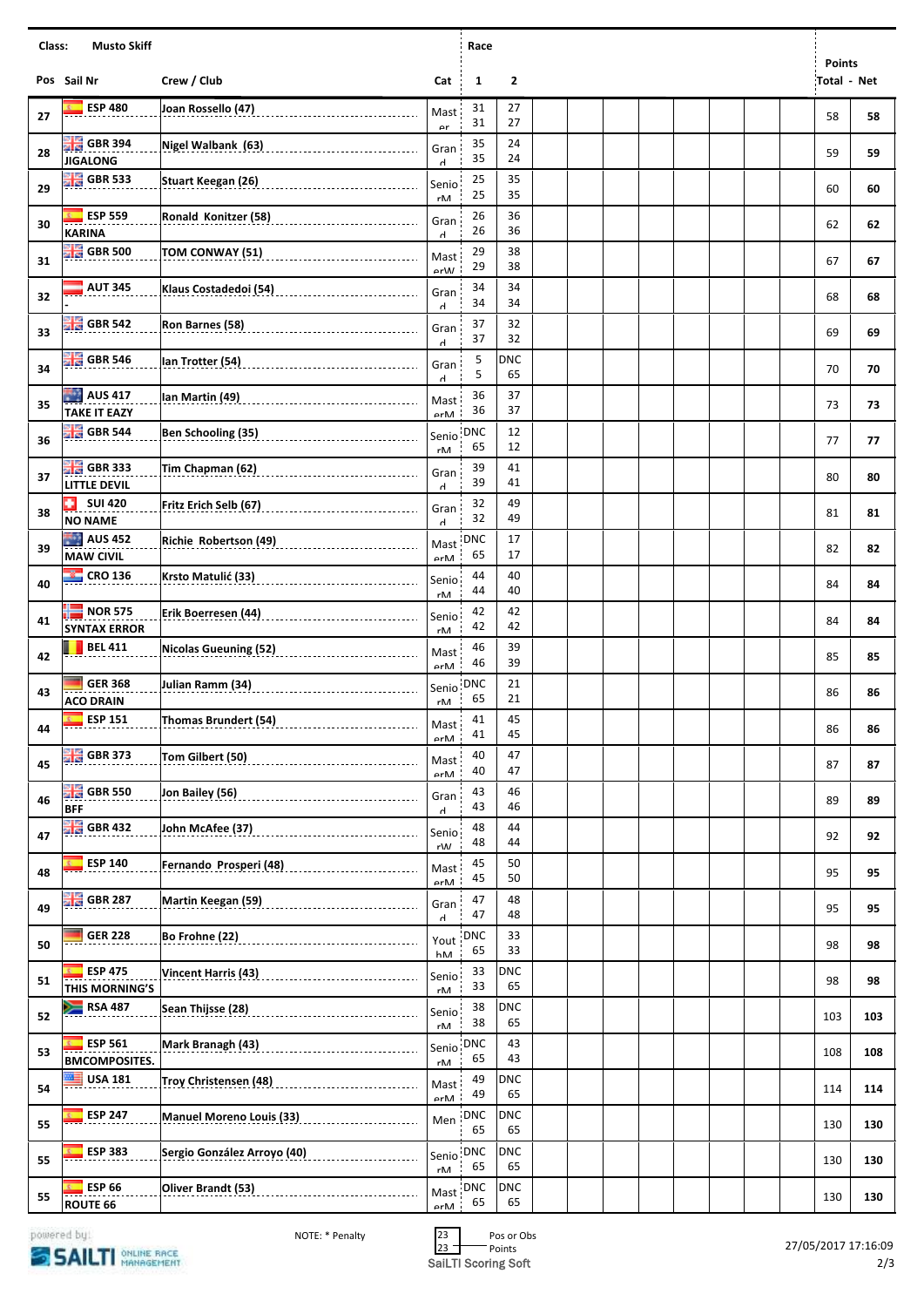| Class:<br><b>Musto Skiff</b><br>Race |                                          |                                                                                                                  |                            |                  |                  |  |  |  |  |                            |     |
|--------------------------------------|------------------------------------------|------------------------------------------------------------------------------------------------------------------|----------------------------|------------------|------------------|--|--|--|--|----------------------------|-----|
|                                      | Pos Sail Nr                              | Crew / Club                                                                                                      | Cat                        | 1                | $\mathbf{2}$     |  |  |  |  | <b>Points</b><br>Total Net |     |
| 27                                   | <b>ESP 480</b>                           | Joan Rossello (47)                                                                                               | Mast<br>$\alpha$ r         | 31<br>31         | 27<br>27         |  |  |  |  | 58                         | 58  |
| 28                                   | <b>HE</b> GBR 394<br><b>JIGALONG</b>     | Nigel Walbank (63)                                                                                               | Gran<br>$\mathsf{r}$       | 35<br>35         | 24<br>24         |  |  |  |  | 59                         | 59  |
| 29                                   | $\frac{10}{10}$ GBR 533                  | Stuart Keegan (26)<br>Stuart Keegan (26)                                                                         | Senio<br>rM                | 25<br>25         | 35<br>35         |  |  |  |  | 60                         | 60  |
| 30                                   | <b>ESP 559</b><br><b>KARINA</b>          |                                                                                                                  | Gran<br>$\mathsf{r}$       | 26<br>26         | 36<br>36         |  |  |  |  | 62                         | 62  |
| 31                                   | GBR 500                                  | TOM CONWAY (51)                                                                                                  | Mast<br>$\alpha r M$       | 29<br>29         | 38<br>38         |  |  |  |  | 67                         | 67  |
| 32                                   | <b>AUT 345</b>                           | Klaus Costadedoi (54)                                                                                            | Gran<br>H                  | 34<br>34         | 34<br>34         |  |  |  |  | 68                         | 68  |
| 33                                   | $\frac{10}{100}$ GBR 542                 | Ron Barnes (58)                                                                                                  | Gran<br>H                  | 37<br>37         | 32<br>32         |  |  |  |  | 69                         | 69  |
| 34                                   | $\frac{12}{20}$ GBR 546                  | Ian Trotter (54)                                                                                                 | Gran<br>$\mathsf{r}$       | 5<br>5           | <b>DNC</b><br>65 |  |  |  |  | 70                         | 70  |
| 35                                   | <b>AUS 417</b><br><b>TAKE IT EAZY</b>    | Ian Martin (49)                                                                                                  | Mast<br>$\rho r \Lambda A$ | 36<br>36         | 37<br>37         |  |  |  |  | 73                         | 73  |
| 36                                   | $\frac{12}{20}$ GBR 544                  |                                                                                                                  | Senio<br>rM                | <b>DNC</b><br>65 | 12<br>12         |  |  |  |  | 77                         | 77  |
| 37                                   | <b>He</b> GBR 333<br><b>LITTLE DEVIL</b> |                                                                                                                  | Gran<br>$\mathsf{r}$       | 39<br>39         | 41<br>41         |  |  |  |  | 80                         | 80  |
| 38                                   | <b>SUI 420</b><br>٠<br><b>NO NAME</b>    | Fritz Erich Selb (67)                                                                                            | Gran<br>$\mathsf{r}$       | 32<br>32         | 49<br>49         |  |  |  |  | 81                         | 81  |
| 39                                   | AUS 452<br><b>MAW CIVIL</b>              |                                                                                                                  | Mast<br>$\rho rM$          | DNC<br>65        | 17<br>17         |  |  |  |  | 82                         | 82  |
| 40                                   | $\frac{12}{100}$ CRO 136                 | Krsto Matulić (33)                                                                                               | Senio<br>rM.               | 44<br>44         | 40<br>40         |  |  |  |  | 84                         | 84  |
| 41                                   | $NOR$ 575<br><b>SYNTAX ERROR</b>         | Erik Boerresen (44) [1999] [1999] [1999] [1999] [1999] [1999] [1999] [1999] [1999] [1999] [1999] [1999] [1999] [ | Senio<br>rM                | 42<br>42         | 42<br>42         |  |  |  |  | 84                         | 84  |
| 42                                   | <b>BEL 411</b>                           | Nicolas Gueuning (52) Manuel Contract Control Control Control Control Control Control Control Control Control Co | Mast<br>$\rho r \Lambda A$ | 46<br>46         | 39<br>39         |  |  |  |  | 85                         | 85  |
| 43                                   | <b>GER 368</b><br><b>ACO DRAIN</b>       | Julian Ramm (34)<br>_______________________________                                                              | Senio<br>rM                | <b>DNC</b><br>65 | 21<br>21         |  |  |  |  | 86                         | 86  |
| 44                                   | ESP 151<br><b>R</b>                      | Thomas Brundert (54)                                                                                             | Mast<br>$\rho r$ M         | 41<br>41         | 45<br>45         |  |  |  |  | 86                         | 86  |
| 45                                   | <b>GBR 373</b>                           | Tom Gilbert (50)                                                                                                 | Mast<br>$\rho r$ M         | 40<br>40         | 47<br>47         |  |  |  |  | 87                         | 87  |
| 46                                   | <b>EN GBR 550</b><br><b>BFF</b>          |                                                                                                                  | Gran<br>Ч                  | 43<br>43         | 46<br>46         |  |  |  |  | 89                         | 89  |
| 47                                   | <b>HE GBR 432</b>                        |                                                                                                                  | Senio<br>r\M               | 48<br>48         | 44<br>44         |  |  |  |  | 92                         | 92  |
| 48                                   | <b>ESP 140</b>                           | Fernando Prosperi (48)<br>____________________________                                                           | Mast<br>$\rho r \Lambda A$ | 45<br>45         | 50<br>50         |  |  |  |  | 95                         | 95  |
| 49                                   | $\frac{100}{100}$ GBR 287                | Martin Keegan (59)                                                                                               | Gran<br>$\mathsf{r}$       | 47<br>47         | 48<br>48         |  |  |  |  | 95                         | 95  |
| 50                                   | <b>GER 228</b>                           | Bo Frohne (22)                                                                                                   | Yout<br>hM                 | <b>DNC</b><br>65 | 33<br>33         |  |  |  |  | 98                         | 98  |
| 51                                   | <b>ESP 475</b><br>THIS MORNING'S         | <b>Vincent Harris (43)</b><br>___________________________________                                                | Senio<br>rM                | 33<br>33         | <b>DNC</b><br>65 |  |  |  |  | 98                         | 98  |
| 52                                   | <b>RSA 487</b>                           |                                                                                                                  | Senio<br>$r\mathsf{M}$     | 38<br>38         | <b>DNC</b><br>65 |  |  |  |  | 103                        | 103 |
| 53                                   | <b>ESP 561</b><br><b>BMCOMPOSITES.</b>   | Mark Branagh (43)                                                                                                | Senio<br>rM                | <b>DNC</b><br>65 | 43<br>43         |  |  |  |  | 108                        | 108 |
| 54                                   | <b>USA 181</b><br>≝                      | Troy Christensen (48)                                                                                            | Mast<br>$\rho r$ M         | 49<br>49         | <b>DNC</b><br>65 |  |  |  |  | 114                        | 114 |
| 55                                   | <b>ESP 247</b>                           | <b>Manuel Moreno Louis (33)</b>                                                                                  | Men                        | DNC<br>65        | <b>DNC</b><br>65 |  |  |  |  | 130                        | 130 |
| 55                                   | <b>ESP 383</b>                           | Sergio González Arroyo (40)                                                                                      | Senio<br>rM                | DNC<br>65        | <b>DNC</b><br>65 |  |  |  |  | 130                        | 130 |
| 55                                   | <b>ESP 66</b><br>ROUTE 66                | Oliver Brandt (53)                                                                                               | Mast<br>$\rho rM$          | <b>DNC</b><br>65 | <b>DNC</b><br>65 |  |  |  |  | 130                        | 130 |